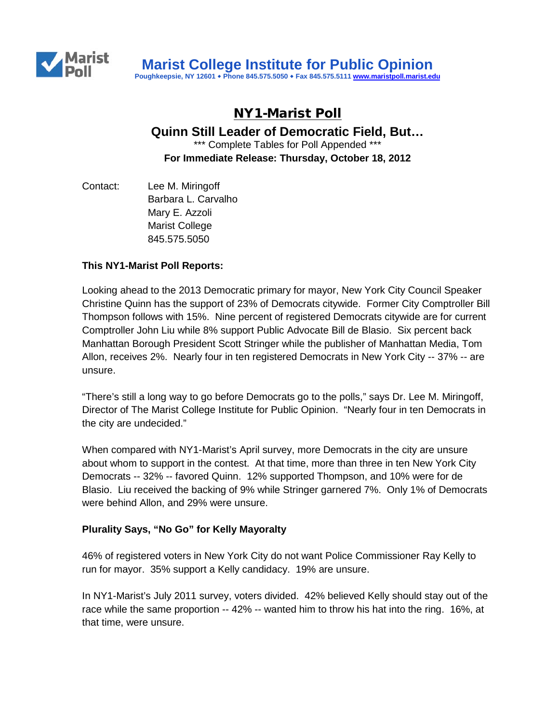

# NY1-Marist Poll

**Quinn Still Leader of Democratic Field, But…**

\*\*\* Complete Tables for Poll Appended \*\*\* **For Immediate Release: Thursday, October 18, 2012**

Contact: Lee M. Miringoff Barbara L. Carvalho Mary E. Azzoli Marist College 845.575.5050

## **This NY1-Marist Poll Reports:**

Looking ahead to the 2013 Democratic primary for mayor, New York City Council Speaker Christine Quinn has the support of 23% of Democrats citywide. Former City Comptroller Bill Thompson follows with 15%. Nine percent of registered Democrats citywide are for current Comptroller John Liu while 8% support Public Advocate Bill de Blasio. Six percent back Manhattan Borough President Scott Stringer while the publisher of Manhattan Media, Tom Allon, receives 2%. Nearly four in ten registered Democrats in New York City -- 37% -- are unsure.

"There's still a long way to go before Democrats go to the polls," says Dr. Lee M. Miringoff, Director of The Marist College Institute for Public Opinion. "Nearly four in ten Democrats in the city are undecided."

When compared with NY1-Marist's April survey, more Democrats in the city are unsure about whom to support in the contest. At that time, more than three in ten New York City Democrats -- 32% -- favored Quinn. 12% supported Thompson, and 10% were for de Blasio. Liu received the backing of 9% while Stringer garnered 7%. Only 1% of Democrats were behind Allon, and 29% were unsure.

#### **Plurality Says, "No Go" for Kelly Mayoralty**

46% of registered voters in New York City do not want Police Commissioner Ray Kelly to run for mayor. 35% support a Kelly candidacy. 19% are unsure.

In NY1-Marist's July 2011 survey, voters divided. 42% believed Kelly should stay out of the race while the same proportion -- 42% -- wanted him to throw his hat into the ring. 16%, at that time, were unsure.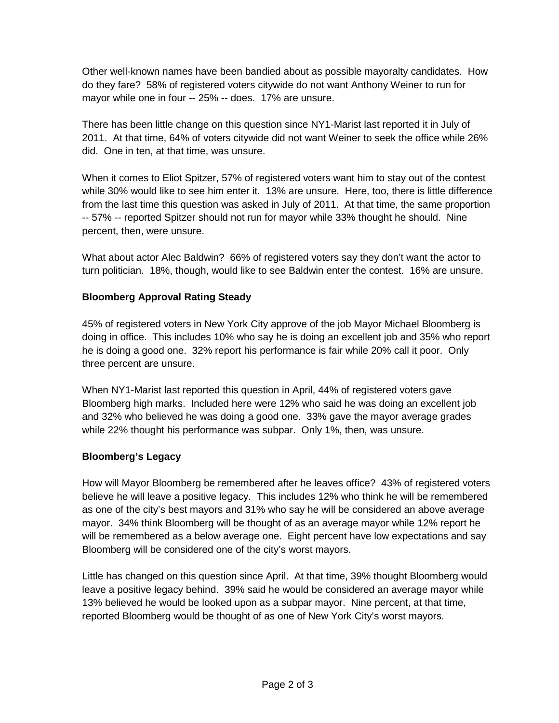Other well-known names have been bandied about as possible mayoralty candidates. How do they fare? 58% of registered voters citywide do not want Anthony Weiner to run for mayor while one in four -- 25% -- does. 17% are unsure.

There has been little change on this question since NY1-Marist last reported it in July of 2011. At that time, 64% of voters citywide did not want Weiner to seek the office while 26% did. One in ten, at that time, was unsure.

When it comes to Eliot Spitzer, 57% of registered voters want him to stay out of the contest while 30% would like to see him enter it. 13% are unsure. Here, too, there is little difference from the last time this question was asked in July of 2011. At that time, the same proportion -- 57% -- reported Spitzer should not run for mayor while 33% thought he should. Nine percent, then, were unsure.

What about actor Alec Baldwin? 66% of registered voters say they don't want the actor to turn politician. 18%, though, would like to see Baldwin enter the contest. 16% are unsure.

# **Bloomberg Approval Rating Steady**

45% of registered voters in New York City approve of the job Mayor Michael Bloomberg is doing in office. This includes 10% who say he is doing an excellent job and 35% who report he is doing a good one. 32% report his performance is fair while 20% call it poor. Only three percent are unsure.

When NY1-Marist last reported this question in April, 44% of registered voters gave Bloomberg high marks. Included here were 12% who said he was doing an excellent job and 32% who believed he was doing a good one. 33% gave the mayor average grades while 22% thought his performance was subpar. Only 1%, then, was unsure.

# **Bloomberg's Legacy**

How will Mayor Bloomberg be remembered after he leaves office? 43% of registered voters believe he will leave a positive legacy. This includes 12% who think he will be remembered as one of the city's best mayors and 31% who say he will be considered an above average mayor. 34% think Bloomberg will be thought of as an average mayor while 12% report he will be remembered as a below average one. Eight percent have low expectations and say Bloomberg will be considered one of the city's worst mayors.

Little has changed on this question since April. At that time, 39% thought Bloomberg would leave a positive legacy behind. 39% said he would be considered an average mayor while 13% believed he would be looked upon as a subpar mayor. Nine percent, at that time, reported Bloomberg would be thought of as one of New York City's worst mayors.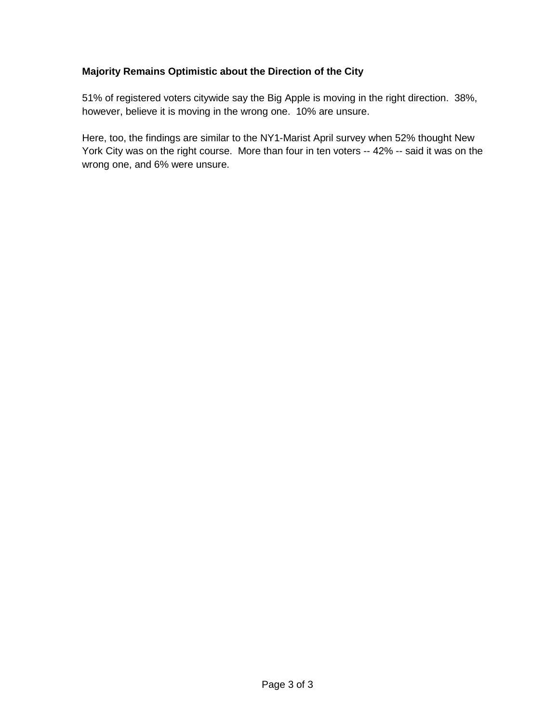# **Majority Remains Optimistic about the Direction of the City**

51% of registered voters citywide say the Big Apple is moving in the right direction. 38%, however, believe it is moving in the wrong one. 10% are unsure.

Here, too, the findings are similar to the NY1-Marist April survey when 52% thought New York City was on the right course. More than four in ten voters -- 42% -- said it was on the wrong one, and 6% were unsure.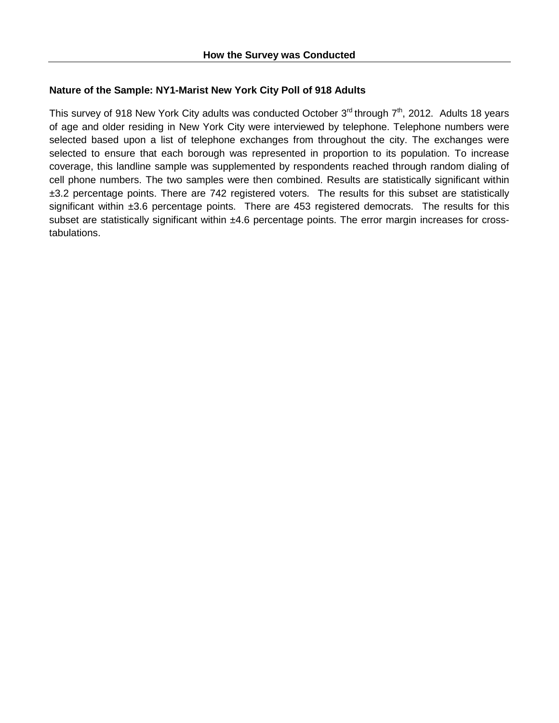### **Nature of the Sample: NY1-Marist New York City Poll of 918 Adults**

This survey of 918 New York City adults was conducted October  $3^{rd}$  through  $7^{th}$ , 2012. Adults 18 years of age and older residing in New York City were interviewed by telephone. Telephone numbers were selected based upon a list of telephone exchanges from throughout the city. The exchanges were selected to ensure that each borough was represented in proportion to its population. To increase coverage, this landline sample was supplemented by respondents reached through random dialing of cell phone numbers. The two samples were then combined. Results are statistically significant within ±3.2 percentage points. There are 742 registered voters. The results for this subset are statistically significant within ±3.6 percentage points. There are 453 registered democrats. The results for this subset are statistically significant within ±4.6 percentage points. The error margin increases for crosstabulations.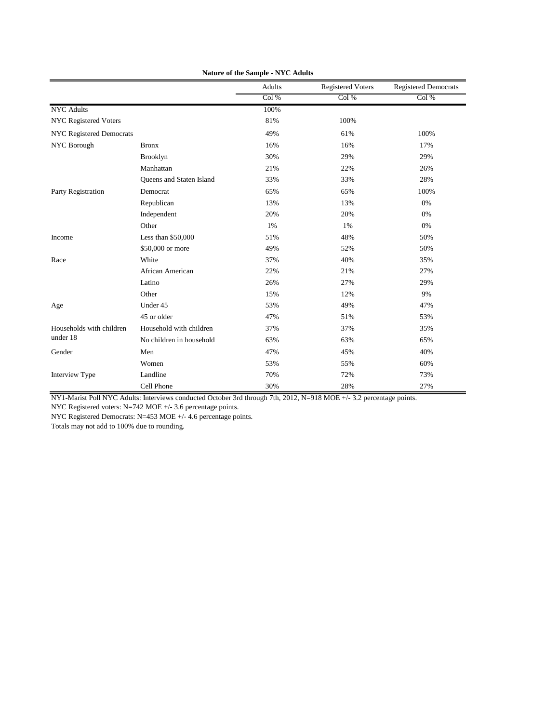|                                 |                          | Adults | <b>Registered Voters</b> | <b>Registered Democrats</b> |
|---------------------------------|--------------------------|--------|--------------------------|-----------------------------|
|                                 |                          | Col%   | Col%                     | Col%                        |
| <b>NYC</b> Adults               |                          | 100%   |                          |                             |
| <b>NYC Registered Voters</b>    |                          | 81%    | 100%                     |                             |
| <b>NYC Registered Democrats</b> |                          | 49%    | 61%                      | 100%                        |
| NYC Borough                     | <b>Bronx</b>             | 16%    | 16%                      | 17%                         |
|                                 | <b>Brooklyn</b>          | 30%    | 29%                      | 29%                         |
|                                 | Manhattan                | 21%    | 22%                      | 26%                         |
|                                 | Queens and Staten Island | 33%    | 33%                      | 28%                         |
| Party Registration              | Democrat                 | 65%    | 65%                      | 100%                        |
|                                 | Republican               | 13%    | 13%                      | 0%                          |
|                                 | Independent              | 20%    | 20%                      | 0%                          |
|                                 | Other                    | 1%     | 1%                       | 0%                          |
| Income                          | Less than \$50,000       | 51%    | 48%                      | 50%                         |
|                                 | \$50,000 or more         | 49%    | 52%                      | 50%                         |
| Race                            | White                    | 37%    | 40%                      | 35%                         |
|                                 | African American         | 22%    | 21%                      | 27%                         |
|                                 | Latino                   | 26%    | 27%                      | 29%                         |
|                                 | Other                    | 15%    | 12%                      | 9%                          |
| Age                             | Under 45                 | 53%    | 49%                      | 47%                         |
|                                 | 45 or older              | 47%    | 51%                      | 53%                         |
| Households with children        | Household with children  | 37%    | 37%                      | 35%                         |
| under 18                        | No children in household | 63%    | 63%                      | 65%                         |
| Gender                          | Men                      | 47%    | 45%                      | 40%                         |
|                                 | Women                    | 53%    | 55%                      | 60%                         |
| Interview Type                  | Landline                 | 70%    | 72%                      | 73%                         |
|                                 | Cell Phone               | 30%    | 28%                      | 27%                         |

**Nature of the Sample - NYC Adults**

NY1-Marist Poll NYC Adults: Interviews conducted October 3rd through 7th, 2012, N=918 MOE +/- 3.2 percentage points.

NYC Registered voters: N=742 MOE +/- 3.6 percentage points.

NYC Registered Democrats: N=453 MOE +/- 4.6 percentage points.

Totals may not add to 100% due to rounding.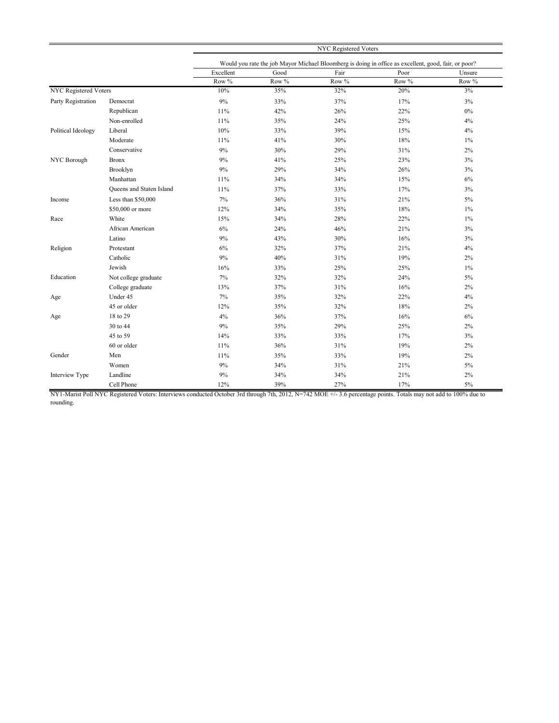|                              |                          | <b>NYC Registered Voters</b>                                                                         |       |       |       |        |
|------------------------------|--------------------------|------------------------------------------------------------------------------------------------------|-------|-------|-------|--------|
|                              |                          | Would you rate the job Mayor Michael Bloomberg is doing in office as excellent, good, fair, or poor? |       |       |       |        |
|                              |                          | Excellent                                                                                            | Good  | Fair  | Poor  | Unsure |
|                              |                          | Row %                                                                                                | Row % | Row % | Row % | Row %  |
| <b>NYC</b> Registered Voters |                          | 10%                                                                                                  | 35%   | 32%   | 20%   | 3%     |
| Party Registration           | Democrat                 | 9%                                                                                                   | 33%   | 37%   | 17%   | 3%     |
|                              | Republican               | 11%                                                                                                  | 42%   | 26%   | 22%   | $0\%$  |
|                              | Non-enrolled             | 11%                                                                                                  | 35%   | 24%   | 25%   | 4%     |
| Political Ideology           | Liberal                  | 10%                                                                                                  | 33%   | 39%   | 15%   | 4%     |
|                              | Moderate                 | 11%                                                                                                  | 41%   | 30%   | 18%   | $1\%$  |
|                              | Conservative             | 9%                                                                                                   | 30%   | 29%   | 31%   | 2%     |
| NYC Borough                  | <b>Bronx</b>             | 9%                                                                                                   | 41%   | 25%   | 23%   | 3%     |
|                              | Brooklyn                 | 9%                                                                                                   | 29%   | 34%   | 26%   | 3%     |
|                              | Manhattan                | 11%                                                                                                  | 34%   | 34%   | 15%   | 6%     |
|                              | Queens and Staten Island | 11%                                                                                                  | 37%   | 33%   | 17%   | 3%     |
| Income                       | Less than \$50,000       | 7%                                                                                                   | 36%   | 31%   | 21%   | 5%     |
|                              | \$50,000 or more         | 12%                                                                                                  | 34%   | 35%   | 18%   | $1\%$  |
| Race                         | White                    | 15%                                                                                                  | 34%   | 28%   | 22%   | $1\%$  |
|                              | African American         | 6%                                                                                                   | 24%   | 46%   | 21%   | 3%     |
|                              | Latino                   | 9%                                                                                                   | 43%   | 30%   | 16%   | 3%     |
| Religion                     | Protestant               | 6%                                                                                                   | 32%   | 37%   | 21%   | 4%     |
|                              | Catholic                 | 9%                                                                                                   | 40%   | 31%   | 19%   | $2\%$  |
|                              | Jewish                   | 16%                                                                                                  | 33%   | 25%   | 25%   | $1\%$  |
| Education                    | Not college graduate     | 7%                                                                                                   | 32%   | 32%   | 24%   | $5\%$  |
|                              | College graduate         | 13%                                                                                                  | 37%   | 31%   | 16%   | 2%     |
| Age                          | Under 45                 | $7\%$                                                                                                | 35%   | 32%   | 22%   | 4%     |
|                              | 45 or older              | 12%                                                                                                  | 35%   | 32%   | 18%   | $2\%$  |
| Age                          | 18 to 29                 | 4%                                                                                                   | 36%   | 37%   | 16%   | 6%     |
|                              | 30 to 44                 | 9%                                                                                                   | 35%   | 29%   | 25%   | 2%     |
|                              | 45 to 59                 | 14%                                                                                                  | 33%   | 33%   | 17%   | 3%     |
|                              | 60 or older              | 11%                                                                                                  | 36%   | 31%   | 19%   | 2%     |
| Gender                       | Men                      | 11%                                                                                                  | 35%   | 33%   | 19%   | 2%     |
|                              | Women                    | 9%                                                                                                   | 34%   | 31%   | 21%   | 5%     |
| Interview Type               | Landline                 | 9%                                                                                                   | 34%   | 34%   | 21%   | 2%     |
|                              | Cell Phone               | 12%                                                                                                  | 39%   | 27%   | 17%   | 5%     |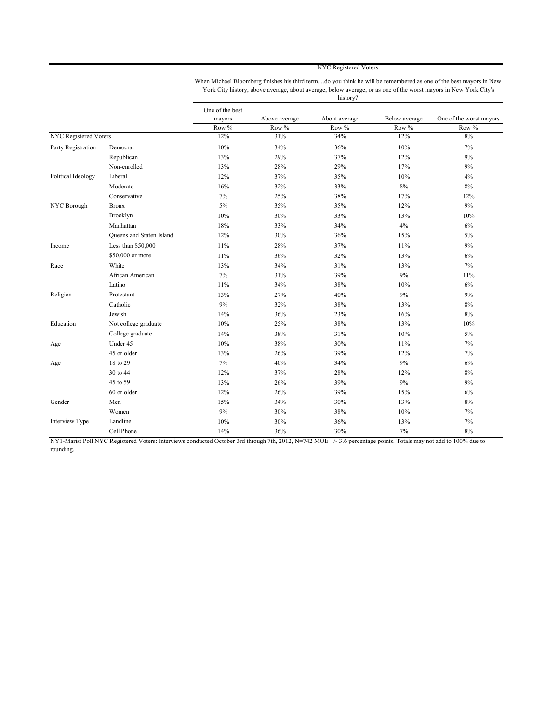NYC Registered Voters

When Michael Bloomberg finishes his third term....do you think he will be remembered as one of the best mayors in New York City history, above average, about average, below average, or as one of the worst mayors in New York City's history?

|                              |                          | One of the best |               |               |               |                         |
|------------------------------|--------------------------|-----------------|---------------|---------------|---------------|-------------------------|
|                              |                          | mayors          | Above average | About average | Below average | One of the worst mayors |
|                              |                          | Row %           | Row %         | Row %         | Row %         | Row %                   |
| <b>NYC Registered Voters</b> |                          | 12%             | 31%           | 34%           | 12%           | 8%                      |
| Party Registration           | Democrat                 | 10%             | 34%           | 36%           | 10%           | 7%                      |
|                              | Republican               | 13%             | 29%           | 37%           | 12%           | 9%                      |
|                              | Non-enrolled             | 13%             | 28%           | 29%           | 17%           | 9%                      |
| Political Ideology           | Liberal                  | 12%             | 37%           | 35%           | 10%           | 4%                      |
|                              | Moderate                 | 16%             | 32%           | 33%           | $8\%$         | $8\%$                   |
|                              | Conservative             | 7%              | 25%           | 38%           | 17%           | 12%                     |
| NYC Borough                  | <b>Bronx</b>             | 5%              | 35%           | 35%           | 12%           | 9%                      |
|                              | Brooklyn                 | 10%             | 30%           | 33%           | 13%           | 10%                     |
|                              | Manhattan                | 18%             | 33%           | 34%           | 4%            | 6%                      |
|                              | Queens and Staten Island | 12%             | 30%           | 36%           | 15%           | $5\%$                   |
| Income                       | Less than \$50,000       | 11%             | 28%           | 37%           | 11%           | 9%                      |
|                              | \$50,000 or more         | 11%             | 36%           | 32%           | 13%           | 6%                      |
| Race                         | White                    | 13%             | 34%           | 31%           | 13%           | 7%                      |
|                              | African American         | 7%              | 31%           | 39%           | 9%            | 11%                     |
|                              | Latino                   | 11%             | 34%           | 38%           | 10%           | 6%                      |
| Religion                     | Protestant               | 13%             | 27%           | 40%           | 9%            | 9%                      |
|                              | Catholic                 | 9%              | 32%           | 38%           | 13%           | $8\%$                   |
|                              | Jewish                   | 14%             | 36%           | 23%           | 16%           | $8\%$                   |
| Education                    | Not college graduate     | 10%             | 25%           | 38%           | 13%           | 10%                     |
|                              | College graduate         | 14%             | 38%           | 31%           | 10%           | 5%                      |
| Age                          | Under 45                 | 10%             | 38%           | 30%           | 11%           | 7%                      |
|                              | 45 or older              | 13%             | 26%           | 39%           | 12%           | 7%                      |
| Age                          | 18 to 29                 | 7%              | 40%           | 34%           | 9%            | 6%                      |
|                              | 30 to 44                 | 12%             | 37%           | 28%           | 12%           | $8\%$                   |
|                              | 45 to 59                 | 13%             | 26%           | 39%           | 9%            | 9%                      |
|                              | 60 or older              | 12%             | 26%           | 39%           | 15%           | 6%                      |
| Gender                       | Men                      | 15%             | 34%           | 30%           | 13%           | $8\%$                   |
|                              | Women                    | 9%              | 30%           | 38%           | 10%           | 7%                      |
| Interview Type               | Landline                 | 10%             | 30%           | 36%           | 13%           | 7%                      |
|                              | Cell Phone               | 14%             | 36%           | 30%           | 7%            | $8\%$                   |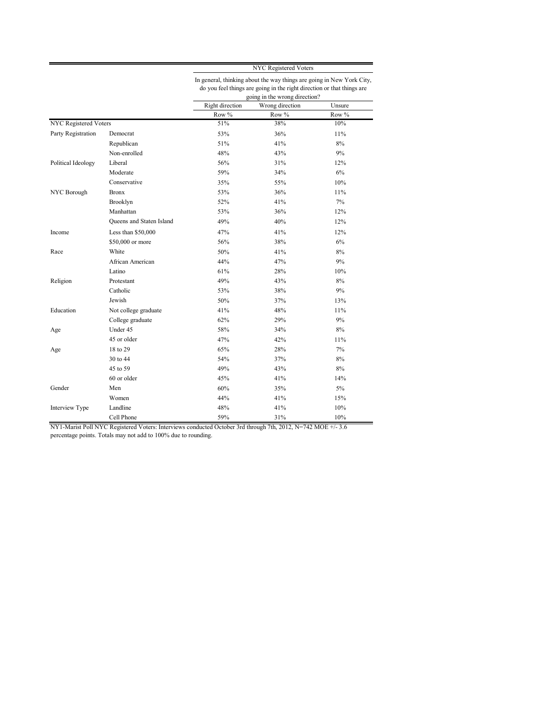|                              |                          | <b>NYC Registered Voters</b><br>In general, thinking about the way things are going in New York City,<br>do you feel things are going in the right direction or that things are<br>going in the wrong direction? |                 |        |  |  |
|------------------------------|--------------------------|------------------------------------------------------------------------------------------------------------------------------------------------------------------------------------------------------------------|-----------------|--------|--|--|
|                              |                          |                                                                                                                                                                                                                  |                 |        |  |  |
|                              |                          | Right direction                                                                                                                                                                                                  | Wrong direction | Unsure |  |  |
|                              |                          | Row %                                                                                                                                                                                                            | Row %           | Row %  |  |  |
| <b>NYC</b> Registered Voters |                          | 51%                                                                                                                                                                                                              | 38%             | 10%    |  |  |
| Party Registration           | Democrat                 | 53%                                                                                                                                                                                                              | 36%             | 11%    |  |  |
|                              | Republican               | 51%                                                                                                                                                                                                              | 41%             | $8\%$  |  |  |
|                              | Non-enrolled             | 48%                                                                                                                                                                                                              | 43%             | 9%     |  |  |
| Political Ideology           | Liberal                  | 56%                                                                                                                                                                                                              | 31%             | 12%    |  |  |
|                              | Moderate                 | 59%                                                                                                                                                                                                              | 34%             | 6%     |  |  |
|                              | Conservative             | 35%                                                                                                                                                                                                              | 55%             | 10%    |  |  |
| NYC Borough                  | <b>Bronx</b>             | 53%                                                                                                                                                                                                              | 36%             | 11%    |  |  |
|                              | Brooklyn                 | 52%                                                                                                                                                                                                              | 41%             | $7\%$  |  |  |
|                              | Manhattan                | 53%                                                                                                                                                                                                              | 36%             | 12%    |  |  |
|                              | Queens and Staten Island | 49%                                                                                                                                                                                                              | 40%             | 12%    |  |  |
| Income                       | Less than \$50,000       | 47%                                                                                                                                                                                                              | 41%             | 12%    |  |  |
|                              | \$50,000 or more         | 56%                                                                                                                                                                                                              | 38%             | 6%     |  |  |
| Race                         | White                    | 50%                                                                                                                                                                                                              | 41%             | $8\%$  |  |  |
|                              | African American         | 44%                                                                                                                                                                                                              | 47%             | 9%     |  |  |
|                              | Latino                   | 61%                                                                                                                                                                                                              | 28%             | 10%    |  |  |
| Religion                     | Protestant               | 49%                                                                                                                                                                                                              | 43%             | $8\%$  |  |  |
|                              | Catholic                 | 53%                                                                                                                                                                                                              | 38%             | 9%     |  |  |
|                              | Jewish                   | 50%                                                                                                                                                                                                              | 37%             | 13%    |  |  |
| Education                    | Not college graduate     | 41%                                                                                                                                                                                                              | 48%             | 11%    |  |  |
|                              | College graduate         | 62%                                                                                                                                                                                                              | 29%             | 9%     |  |  |
| Age                          | Under 45                 | 58%                                                                                                                                                                                                              | 34%             | 8%     |  |  |
|                              | 45 or older              | 47%                                                                                                                                                                                                              | 42%             | 11%    |  |  |
| Age                          | 18 to 29                 | 65%                                                                                                                                                                                                              | 28%             | $7\%$  |  |  |
|                              | 30 to 44                 | 54%                                                                                                                                                                                                              | 37%             | 8%     |  |  |
|                              | 45 to 59                 | 49%                                                                                                                                                                                                              | 43%             | 8%     |  |  |
|                              | 60 or older              | 45%                                                                                                                                                                                                              | 41%             | 14%    |  |  |
| Gender                       | Men                      | 60%                                                                                                                                                                                                              | 35%             | 5%     |  |  |
|                              | Women                    | 44%                                                                                                                                                                                                              | 41%             | 15%    |  |  |
| Interview Type               | Landline                 | 48%                                                                                                                                                                                                              | 41%             | 10%    |  |  |
|                              | Cell Phone               | 59%                                                                                                                                                                                                              | 31%             | 10%    |  |  |

NY1-Marist Poll NYC Registered Voters: Interviews conducted October 3rd through 7th, 2012, N=742 MOE +/- 3.6

percentage points. Totals may not add to 100% due to rounding.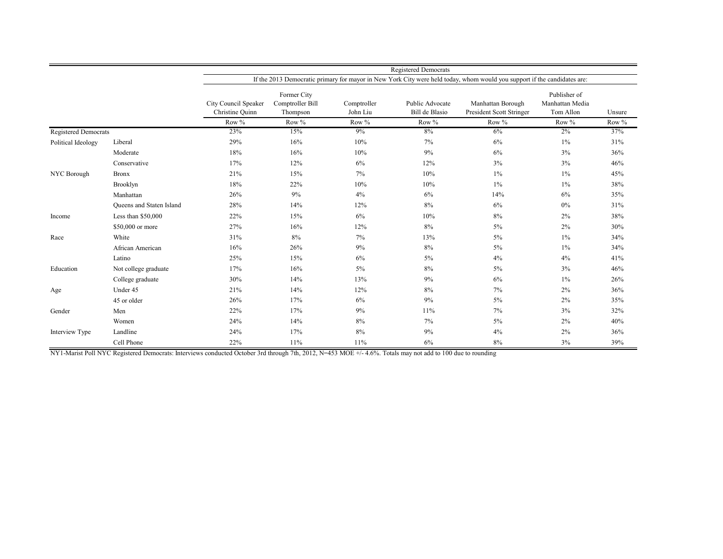|                             |                                 | <b>Registered Democrats</b>             |                                                                                                                          |                         |                                   |                                               |                                              |        |
|-----------------------------|---------------------------------|-----------------------------------------|--------------------------------------------------------------------------------------------------------------------------|-------------------------|-----------------------------------|-----------------------------------------------|----------------------------------------------|--------|
|                             |                                 |                                         | If the 2013 Democratic primary for mayor in New York City were held today, whom would you support if the candidates are: |                         |                                   |                                               |                                              |        |
|                             |                                 | City Council Speaker<br>Christine Quinn | Former City<br>Comptroller Bill<br>Thompson                                                                              | Comptroller<br>John Liu | Public Advocate<br>Bill de Blasio | Manhattan Borough<br>President Scott Stringer | Publisher of<br>Manhattan Media<br>Tom Allon | Unsure |
|                             |                                 | Row %                                   | Row %                                                                                                                    | Row %                   | Row %                             | Row %                                         | Row %                                        | Row %  |
| <b>Registered Democrats</b> |                                 | 23%                                     | 15%                                                                                                                      | 9%                      | 8%                                | 6%                                            | 2%                                           | 37%    |
| Political Ideology          | Liberal                         | 29%                                     | 16%                                                                                                                      | 10%                     | $7\%$                             | 6%                                            | $1\%$                                        | 31%    |
|                             | Moderate                        | 18%                                     | 16%                                                                                                                      | 10%                     | 9%                                | 6%                                            | 3%                                           | 36%    |
|                             | Conservative                    | 17%                                     | 12%                                                                                                                      | 6%                      | 12%                               | $3\%$                                         | 3%                                           | 46%    |
| NYC Borough                 | <b>Bronx</b>                    | 21%                                     | 15%                                                                                                                      | $7\%$                   | 10%                               | $1\%$                                         | $1\%$                                        | 45%    |
|                             | Brooklyn                        | 18%                                     | 22%                                                                                                                      | 10%                     | 10%                               | $1\%$                                         | $1\%$                                        | 38%    |
|                             | Manhattan                       | 26%                                     | 9%                                                                                                                       | 4%                      | 6%                                | 14%                                           | 6%                                           | 35%    |
|                             | <b>Oueens and Staten Island</b> | 28%                                     | 14%                                                                                                                      | 12%                     | 8%                                | 6%                                            | $0\%$                                        | 31%    |
| Income                      | Less than \$50,000              | 22%                                     | 15%                                                                                                                      | 6%                      | 10%                               | 8%                                            | 2%                                           | 38%    |
|                             | \$50,000 or more                | 27%                                     | 16%                                                                                                                      | 12%                     | 8%                                | $5\%$                                         | 2%                                           | 30%    |
| Race                        | White                           | 31%                                     | 8%                                                                                                                       | 7%                      | 13%                               | $5\%$                                         | $1\%$                                        | 34%    |
|                             | African American                | 16%                                     | 26%                                                                                                                      | 9%                      | 8%                                | $5\%$                                         | $1\%$                                        | 34%    |
|                             | Latino                          | 25%                                     | 15%                                                                                                                      | 6%                      | $5\%$                             | 4%                                            | 4%                                           | 41%    |
| Education                   | Not college graduate            | 17%                                     | 16%                                                                                                                      | 5%                      | 8%                                | $5\%$                                         | 3%                                           | 46%    |
|                             | College graduate                | 30%                                     | 14%                                                                                                                      | 13%                     | 9%                                | 6%                                            | $1\%$                                        | 26%    |
| Age                         | Under 45                        | 21%                                     | 14%                                                                                                                      | 12%                     | 8%                                | $7\%$                                         | 2%                                           | 36%    |
|                             | 45 or older                     | 26%                                     | 17%                                                                                                                      | 6%                      | 9%                                | $5\%$                                         | 2%                                           | 35%    |
| Gender                      | Men                             | 22%                                     | 17%                                                                                                                      | 9%                      | 11%                               | $7\%$                                         | 3%                                           | 32%    |
|                             | Women                           | 24%                                     | 14%                                                                                                                      | 8%                      | $7\%$                             | $5\%$                                         | 2%                                           | 40%    |
| Interview Type              | Landline                        | 24%                                     | 17%                                                                                                                      | 8%                      | 9%                                | 4%                                            | 2%                                           | 36%    |
|                             | Cell Phone                      | 22%                                     | 11%                                                                                                                      | 11%                     | 6%                                | 8%                                            | 3%                                           | 39%    |

NY1-Marist Poll NYC Registered Democrats: Interviews conducted October 3rd through 7th, 2012, N=453 MOE +/- 4.6%. Totals may not add to 100 due to rounding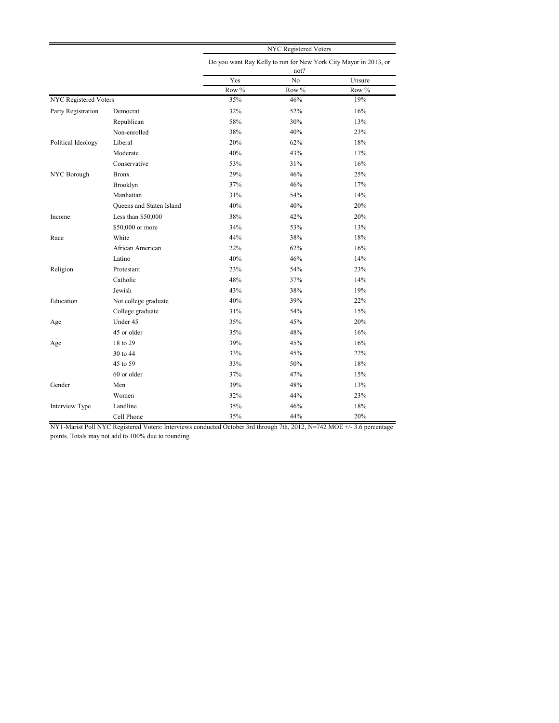|                              |                          | NYC Registered Voters                                                    |       |          |  |  |
|------------------------------|--------------------------|--------------------------------------------------------------------------|-------|----------|--|--|
|                              |                          | Do you want Ray Kelly to run for New York City Mayor in 2013, or<br>not? |       |          |  |  |
|                              |                          | Yes                                                                      | No    | Unsure   |  |  |
|                              |                          | Row $\%$                                                                 | Row % | Row $\%$ |  |  |
| <b>NYC</b> Registered Voters |                          | 35%                                                                      | 46%   | 19%      |  |  |
| Party Registration           | Democrat                 | 32%                                                                      | 52%   | 16%      |  |  |
|                              | Republican               | 58%                                                                      | 30%   | 13%      |  |  |
|                              | Non-enrolled             | 38%                                                                      | 40%   | 23%      |  |  |
| Political Ideology           | Liberal                  | 20%                                                                      | 62%   | 18%      |  |  |
|                              | Moderate                 | 40%                                                                      | 43%   | 17%      |  |  |
|                              | Conservative             | 53%                                                                      | 31%   | 16%      |  |  |
| NYC Borough                  | <b>Bronx</b>             | 29%                                                                      | 46%   | 25%      |  |  |
|                              | Brooklyn                 | 37%                                                                      | 46%   | 17%      |  |  |
|                              | Manhattan                | 31%                                                                      | 54%   | 14%      |  |  |
|                              | Queens and Staten Island | 40%                                                                      | 40%   | 20%      |  |  |
| Income                       | Less than $$50,000$      | 38%                                                                      | 42%   | 20%      |  |  |
|                              | \$50,000 or more         | 34%                                                                      | 53%   | 13%      |  |  |
| Race                         | White                    | 44%                                                                      | 38%   | 18%      |  |  |
|                              | African American         | 22%                                                                      | 62%   | 16%      |  |  |
|                              | Latino                   | 40%                                                                      | 46%   | 14%      |  |  |
| Religion                     | Protestant               | 23%                                                                      | 54%   | 23%      |  |  |
|                              | Catholic                 | 48%                                                                      | 37%   | 14%      |  |  |
|                              | Jewish                   | 43%                                                                      | 38%   | 19%      |  |  |
| Education                    | Not college graduate     | 40%                                                                      | 39%   | 22%      |  |  |
|                              | College graduate         | 31%                                                                      | 54%   | 15%      |  |  |
| Age                          | Under 45                 | 35%                                                                      | 45%   | 20%      |  |  |
|                              | 45 or older              | 35%                                                                      | 48%   | 16%      |  |  |
| Age                          | 18 to 29                 | 39%                                                                      | 45%   | 16%      |  |  |
|                              | 30 to 44                 | 33%                                                                      | 45%   | 22%      |  |  |
|                              | 45 to 59                 | 33%                                                                      | 50%   | 18%      |  |  |
|                              | 60 or older              | 37%                                                                      | 47%   | 15%      |  |  |
| Gender                       | Men                      | 39%                                                                      | 48%   | 13%      |  |  |
|                              | Women                    | 32%                                                                      | 44%   | 23%      |  |  |
| Interview Type               | Landline                 | 35%                                                                      | 46%   | 18%      |  |  |
|                              | Cell Phone               | 35%                                                                      | 44%   | 20%      |  |  |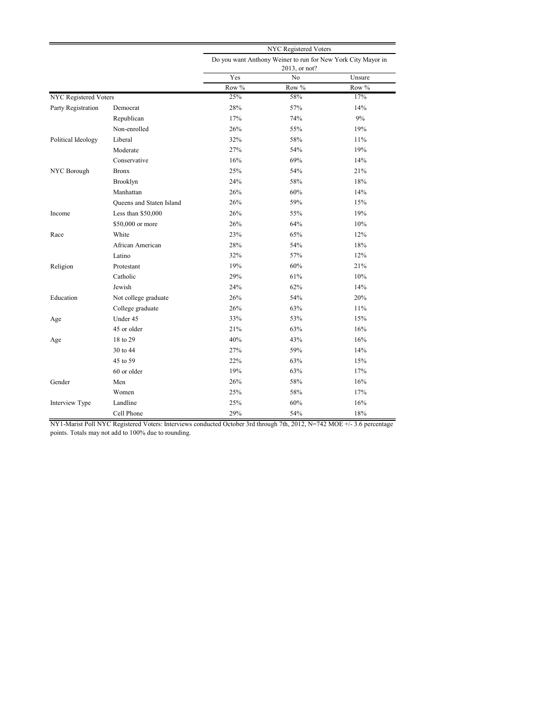|                              |                          | NYC Registered Voters |                                                                               |        |  |  |  |
|------------------------------|--------------------------|-----------------------|-------------------------------------------------------------------------------|--------|--|--|--|
|                              |                          |                       | Do you want Anthony Weiner to run for New York City Mayor in<br>2013, or not? |        |  |  |  |
|                              |                          | Yes                   | No                                                                            | Unsure |  |  |  |
|                              |                          | Row %                 | Row %                                                                         | Row %  |  |  |  |
| <b>NYC</b> Registered Voters |                          | 25%                   | 58%                                                                           | 17%    |  |  |  |
| Party Registration           | Democrat                 | 28%                   | 57%                                                                           | 14%    |  |  |  |
|                              | Republican               | 17%                   | 74%                                                                           | 9%     |  |  |  |
|                              | Non-enrolled             | 26%                   | 55%                                                                           | 19%    |  |  |  |
| Political Ideology           | Liberal                  | 32%                   | 58%                                                                           | 11%    |  |  |  |
|                              | Moderate                 | 27%                   | 54%                                                                           | 19%    |  |  |  |
|                              | Conservative             | 16%                   | 69%                                                                           | 14%    |  |  |  |
| NYC Borough                  | <b>Bronx</b>             | 25%                   | 54%                                                                           | 21%    |  |  |  |
|                              | Brooklyn                 | 24%                   | 58%                                                                           | 18%    |  |  |  |
|                              | Manhattan                | 26%                   | 60%                                                                           | 14%    |  |  |  |
|                              | Queens and Staten Island | 26%                   | 59%                                                                           | 15%    |  |  |  |
| Income                       | Less than \$50,000       | 26%                   | 55%                                                                           | 19%    |  |  |  |
|                              | \$50,000 or more         | 26%                   | 64%                                                                           | 10%    |  |  |  |
| Race                         | White                    | 23%                   | 65%                                                                           | 12%    |  |  |  |
|                              | African American         | 28%                   | 54%                                                                           | 18%    |  |  |  |
|                              | Latino                   | 32%                   | 57%                                                                           | 12%    |  |  |  |
| Religion                     | Protestant               | 19%                   | 60%                                                                           | 21%    |  |  |  |
|                              | Catholic                 | 29%                   | 61%                                                                           | 10%    |  |  |  |
|                              | Jewish                   | 24%                   | 62%                                                                           | 14%    |  |  |  |
| Education                    | Not college graduate     | 26%                   | 54%                                                                           | 20%    |  |  |  |
|                              | College graduate         | 26%                   | 63%                                                                           | 11%    |  |  |  |
| Age                          | Under 45                 | 33%                   | 53%                                                                           | 15%    |  |  |  |
|                              | 45 or older              | 21%                   | 63%                                                                           | 16%    |  |  |  |
| Age                          | 18 to 29                 | 40%                   | 43%                                                                           | 16%    |  |  |  |
|                              | 30 to 44                 | 27%                   | 59%                                                                           | 14%    |  |  |  |
|                              | 45 to 59                 | 22%                   | 63%                                                                           | 15%    |  |  |  |
|                              | 60 or older              | 19%                   | 63%                                                                           | 17%    |  |  |  |
| Gender                       | Men                      | 26%                   | 58%                                                                           | 16%    |  |  |  |
|                              | Women                    | 25%                   | 58%                                                                           | 17%    |  |  |  |
| Interview Type               | Landline                 | 25%                   | 60%                                                                           | 16%    |  |  |  |
|                              | Cell Phone               | 29%                   | 54%                                                                           | 18%    |  |  |  |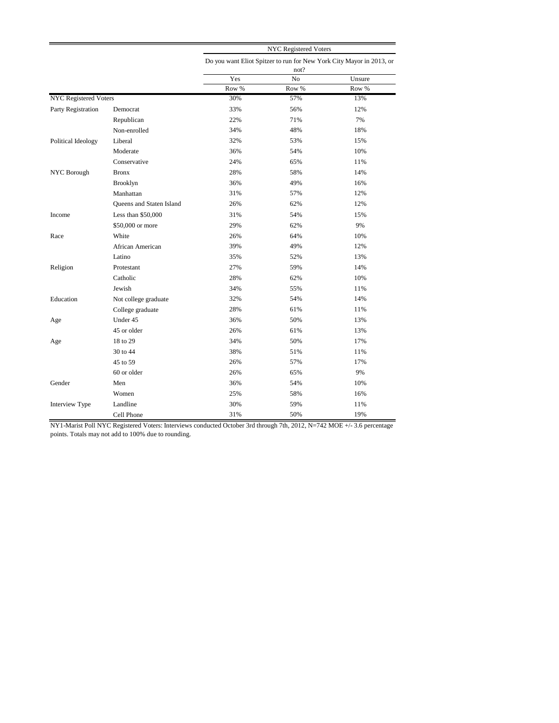|                              |                          | <b>NYC Registered Voters</b> |                                                                              |        |  |  |  |
|------------------------------|--------------------------|------------------------------|------------------------------------------------------------------------------|--------|--|--|--|
|                              |                          |                              | Do you want Eliot Spitzer to run for New York City Mayor in 2013, or<br>not? |        |  |  |  |
|                              |                          | Yes                          | No                                                                           | Unsure |  |  |  |
|                              |                          | Row %                        | Row %                                                                        | Row %  |  |  |  |
| <b>NYC</b> Registered Voters |                          | 30%                          | 57%                                                                          | 13%    |  |  |  |
| Party Registration           | Democrat                 | 33%                          | 56%                                                                          | 12%    |  |  |  |
|                              | Republican               | 22%                          | 71%                                                                          | 7%     |  |  |  |
|                              | Non-enrolled             | 34%                          | 48%                                                                          | 18%    |  |  |  |
| Political Ideology           | Liberal                  | 32%                          | 53%                                                                          | 15%    |  |  |  |
|                              | Moderate                 | 36%                          | 54%                                                                          | 10%    |  |  |  |
|                              | Conservative             | 24%                          | 65%                                                                          | 11%    |  |  |  |
| NYC Borough                  | <b>Bronx</b>             | 28%                          | 58%                                                                          | 14%    |  |  |  |
|                              | Brooklyn                 | 36%                          | 49%                                                                          | 16%    |  |  |  |
|                              | Manhattan                | 31%                          | 57%                                                                          | 12%    |  |  |  |
|                              | Queens and Staten Island | 26%                          | 62%                                                                          | 12%    |  |  |  |
| Income                       | Less than $$50,000$      | 31%                          | 54%                                                                          | 15%    |  |  |  |
|                              | \$50,000 or more         | 29%                          | 62%                                                                          | 9%     |  |  |  |
| Race                         | White                    | 26%                          | 64%                                                                          | 10%    |  |  |  |
|                              | African American         | 39%                          | 49%                                                                          | 12%    |  |  |  |
|                              | Latino                   | 35%                          | 52%                                                                          | 13%    |  |  |  |
| Religion                     | Protestant               | 27%                          | 59%                                                                          | 14%    |  |  |  |
|                              | Catholic                 | 28%                          | 62%                                                                          | 10%    |  |  |  |
|                              | Jewish                   | 34%                          | 55%                                                                          | 11%    |  |  |  |
| Education                    | Not college graduate     | 32%                          | 54%                                                                          | 14%    |  |  |  |
|                              | College graduate         | 28%                          | 61%                                                                          | 11%    |  |  |  |
| Age                          | Under 45                 | 36%                          | 50%                                                                          | 13%    |  |  |  |
|                              | 45 or older              | 26%                          | 61%                                                                          | 13%    |  |  |  |
| Age                          | 18 to 29                 | 34%                          | 50%                                                                          | 17%    |  |  |  |
|                              | 30 to 44                 | 38%                          | 51%                                                                          | 11%    |  |  |  |
|                              | 45 to 59                 | 26%                          | 57%                                                                          | 17%    |  |  |  |
|                              | 60 or older              | 26%                          | 65%                                                                          | 9%     |  |  |  |
| Gender                       | Men                      | 36%                          | 54%                                                                          | 10%    |  |  |  |
|                              | Women                    | 25%                          | 58%                                                                          | 16%    |  |  |  |
| Interview Type               | Landline                 | 30%                          | 59%                                                                          | 11%    |  |  |  |
|                              | Cell Phone               | 31%                          | 50%                                                                          | 19%    |  |  |  |